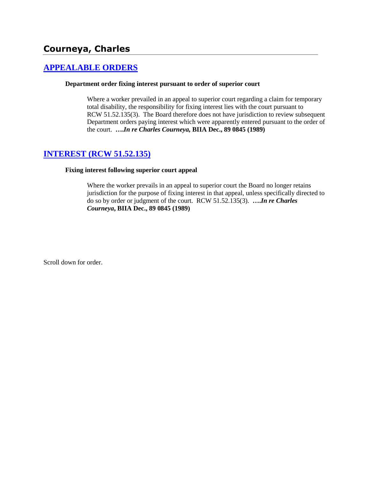# **Courneya, Charles**

## **[APPEALABLE ORDERS](http://www.biia.wa.gov/SDSubjectIndex.html#APPEALABLE_ORDERS)**

### **Department order fixing interest pursuant to order of superior court**

Where a worker prevailed in an appeal to superior court regarding a claim for temporary total disability, the responsibility for fixing interest lies with the court pursuant to RCW 51.52.135(3). The Board therefore does not have jurisdiction to review subsequent Department orders paying interest which were apparently entered pursuant to the order of the court. **….***In re Charles Courneya,* **BIIA Dec., 89 0845 (1989)** 

## **[INTEREST \(RCW 51.52.135\)](http://www.biia.wa.gov/SDSubjectIndex.html#INTEREST)**

### **Fixing interest following superior court appeal**

Where the worker prevails in an appeal to superior court the Board no longer retains jurisdiction for the purpose of fixing interest in that appeal, unless specifically directed to do so by order or judgment of the court. RCW 51.52.135(3). **….***In re Charles Courneya***, BIIA Dec., 89 0845 (1989)**

Scroll down for order.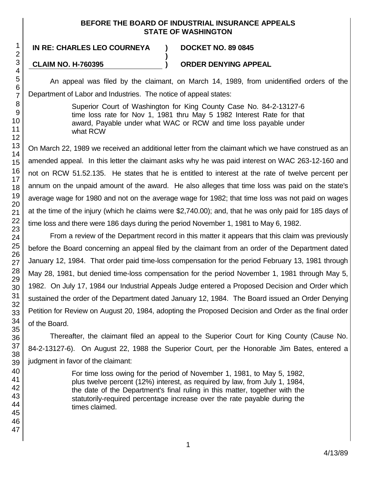## **BEFORE THE BOARD OF INDUSTRIAL INSURANCE APPEALS STATE OF WASHINGTON**

**)**

## **IN RE: CHARLES LEO COURNEYA ) DOCKET NO. 89 0845**

**CLAIM NO. H-760395 ) ORDER DENYING APPEAL**

An appeal was filed by the claimant, on March 14, 1989, from unidentified orders of the Department of Labor and Industries. The notice of appeal states:

> Superior Court of Washington for King County Case No. 84-2-13127-6 time loss rate for Nov 1, 1981 thru May 5 1982 Interest Rate for that award, Payable under what WAC or RCW and time loss payable under what RCW

On March 22, 1989 we received an additional letter from the claimant which we have construed as an amended appeal. In this letter the claimant asks why he was paid interest on WAC 263-12-160 and not on RCW 51.52.135. He states that he is entitled to interest at the rate of twelve percent per annum on the unpaid amount of the award. He also alleges that time loss was paid on the state's average wage for 1980 and not on the average wage for 1982; that time loss was not paid on wages at the time of the injury (which he claims were \$2,740.00); and, that he was only paid for 185 days of time loss and there were 186 days during the period November 1, 1981 to May 6, 1982.

From a review of the Department record in this matter it appears that this claim was previously before the Board concerning an appeal filed by the claimant from an order of the Department dated January 12, 1984. That order paid time-loss compensation for the period February 13, 1981 through May 28, 1981, but denied time-loss compensation for the period November 1, 1981 through May 5, 1982. On July 17, 1984 our Industrial Appeals Judge entered a Proposed Decision and Order which sustained the order of the Department dated January 12, 1984. The Board issued an Order Denying Petition for Review on August 20, 1984, adopting the Proposed Decision and Order as the final order of the Board.

Thereafter, the claimant filed an appeal to the Superior Court for King County (Cause No. 84-2-13127-6). On August 22, 1988 the Superior Court, per the Honorable Jim Bates, entered a judgment in favor of the claimant:

> For time loss owing for the period of November 1, 1981, to May 5, 1982, plus twelve percent (12%) interest, as required by law, from July 1, 1984, the date of the Department's final ruling in this matter, together with the statutorily-required percentage increase over the rate payable during the times claimed.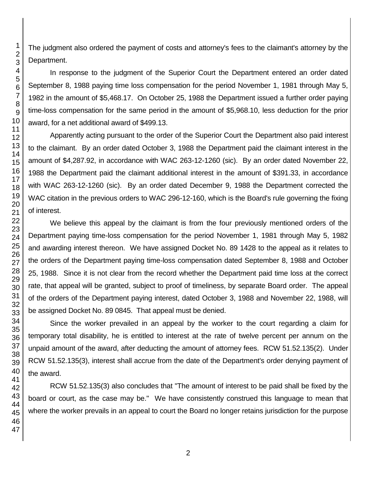The judgment also ordered the payment of costs and attorney's fees to the claimant's attorney by the Department.

In response to the judgment of the Superior Court the Department entered an order dated September 8, 1988 paying time loss compensation for the period November 1, 1981 through May 5, 1982 in the amount of \$5,468.17. On October 25, 1988 the Department issued a further order paying time-loss compensation for the same period in the amount of \$5,968.10, less deduction for the prior award, for a net additional award of \$499.13.

Apparently acting pursuant to the order of the Superior Court the Department also paid interest to the claimant. By an order dated October 3, 1988 the Department paid the claimant interest in the amount of \$4,287.92, in accordance with WAC 263-12-1260 (sic). By an order dated November 22, 1988 the Department paid the claimant additional interest in the amount of \$391.33, in accordance with WAC 263-12-1260 (sic). By an order dated December 9, 1988 the Department corrected the WAC citation in the previous orders to WAC 296-12-160, which is the Board's rule governing the fixing of interest.

We believe this appeal by the claimant is from the four previously mentioned orders of the Department paying time-loss compensation for the period November 1, 1981 through May 5, 1982 and awarding interest thereon. We have assigned Docket No. 89 1428 to the appeal as it relates to the orders of the Department paying time-loss compensation dated September 8, 1988 and October 25, 1988. Since it is not clear from the record whether the Department paid time loss at the correct rate, that appeal will be granted, subject to proof of timeliness, by separate Board order. The appeal of the orders of the Department paying interest, dated October 3, 1988 and November 22, 1988, will be assigned Docket No. 89 0845. That appeal must be denied.

Since the worker prevailed in an appeal by the worker to the court regarding a claim for temporary total disability, he is entitled to interest at the rate of twelve percent per annum on the unpaid amount of the award, after deducting the amount of attorney fees. RCW 51.52.135(2). Under RCW 51.52.135(3), interest shall accrue from the date of the Department's order denying payment of the award.

RCW 51.52.135(3) also concludes that "The amount of interest to be paid shall be fixed by the board or court, as the case may be." We have consistently construed this language to mean that where the worker prevails in an appeal to court the Board no longer retains jurisdiction for the purpose